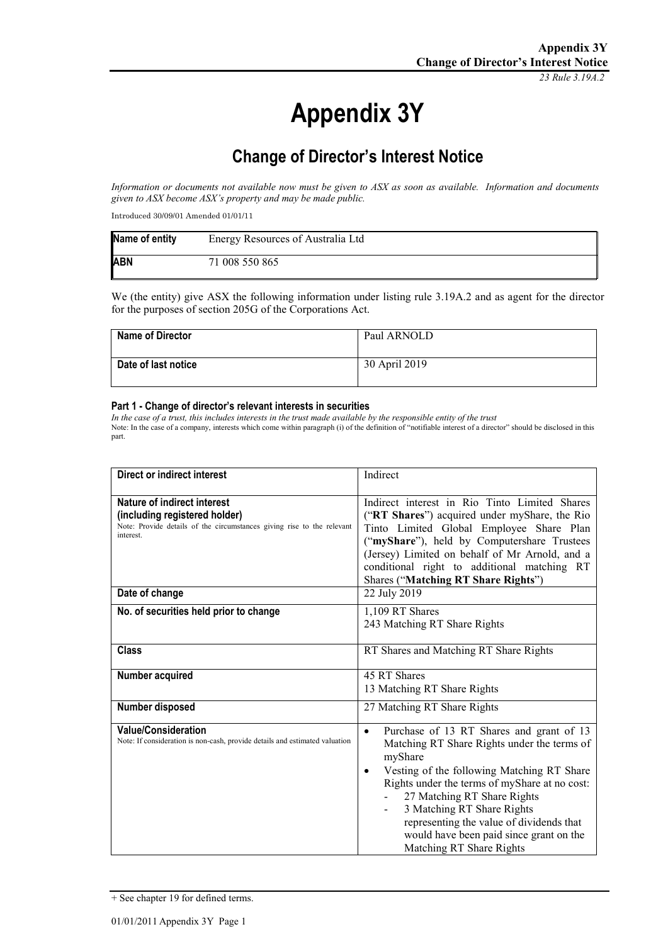*23 Rule 3.19A.2*

# **Appendix 3Y**

# **Change of Director's Interest Notice**

*Information or documents not available now must be given to ASX as soon as available. Information and documents given to ASX become ASX's property and may be made public.*

Introduced 30/09/01 Amended 01/01/11

| Name of entity | Energy Resources of Australia Ltd |
|----------------|-----------------------------------|
| <b>ABN</b>     | 71 008 550 865                    |

We (the entity) give ASX the following information under listing rule 3.19A.2 and as agent for the director for the purposes of section 205G of the Corporations Act.

| <b>Name of Director</b> | Paul ARNOLD   |
|-------------------------|---------------|
| Date of last notice     | 30 April 2019 |

#### **Part 1 - Change of director's relevant interests in securities**

*In the case of a trust, this includes interests in the trust made available by the responsible entity of the trust* Note: In the case of a company, interests which come within paragraph (i) of the definition of "notifiable interest of a director" should be disclosed in this part.

| <b>Direct or indirect interest</b>                                          | Indirect                                                |
|-----------------------------------------------------------------------------|---------------------------------------------------------|
|                                                                             |                                                         |
|                                                                             |                                                         |
| <b>Nature of indirect interest</b>                                          | Indirect interest in Rio Tinto Limited Shares           |
| (including registered holder)                                               | ("RT Shares") acquired under myShare, the Rio           |
| Note: Provide details of the circumstances giving rise to the relevant      | Tinto Limited Global Employee Share Plan                |
| interest.                                                                   | ("myShare"), held by Computershare Trustees             |
|                                                                             | (Jersey) Limited on behalf of Mr Arnold, and a          |
|                                                                             | conditional right to additional matching RT             |
|                                                                             | Shares ("Matching RT Share Rights")                     |
| Date of change                                                              | 22 July 2019                                            |
|                                                                             |                                                         |
| No. of securities held prior to change                                      | 1,109 RT Shares                                         |
|                                                                             | 243 Matching RT Share Rights                            |
|                                                                             |                                                         |
| <b>Class</b>                                                                | RT Shares and Matching RT Share Rights                  |
|                                                                             |                                                         |
| Number acquired                                                             | 45 RT Shares                                            |
|                                                                             | 13 Matching RT Share Rights                             |
| Number disposed                                                             | 27 Matching RT Share Rights                             |
|                                                                             |                                                         |
| <b>Value/Consideration</b>                                                  | Purchase of 13 RT Shares and grant of 13<br>$\bullet$   |
| Note: If consideration is non-cash, provide details and estimated valuation | Matching RT Share Rights under the terms of             |
|                                                                             | myShare                                                 |
|                                                                             | Vesting of the following Matching RT Share<br>$\bullet$ |
|                                                                             | Rights under the terms of myShare at no cost:           |
|                                                                             | 27 Matching RT Share Rights                             |
|                                                                             | 3 Matching RT Share Rights<br>$\blacksquare$            |
|                                                                             |                                                         |
|                                                                             | representing the value of dividends that                |
|                                                                             | would have been paid since grant on the                 |
|                                                                             | Matching RT Share Rights                                |

<sup>+</sup> See chapter 19 for defined terms.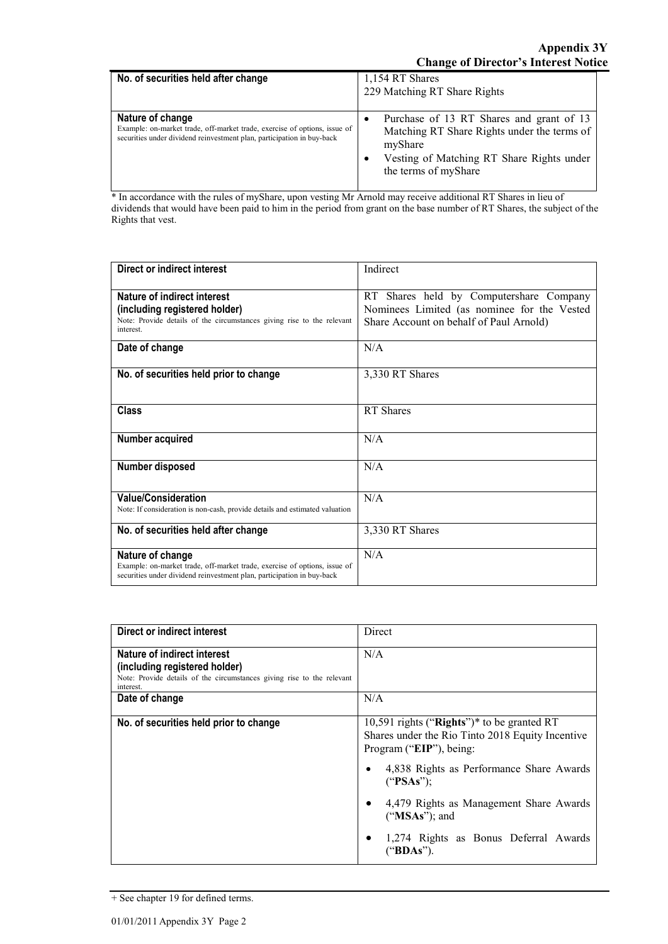| No. of securities held after change                                                                                                                                     | 1,154 RT Shares<br>229 Matching RT Share Rights                                                                                                                         |
|-------------------------------------------------------------------------------------------------------------------------------------------------------------------------|-------------------------------------------------------------------------------------------------------------------------------------------------------------------------|
| Nature of change<br>Example: on-market trade, off-market trade, exercise of options, issue of<br>securities under dividend reinvestment plan, participation in buy-back | Purchase of 13 RT Shares and grant of 13<br>Matching RT Share Rights under the terms of<br>myShare<br>Vesting of Matching RT Share Rights under<br>the terms of myShare |

\* In accordance with the rules of myShare, upon vesting Mr Arnold may receive additional RT Shares in lieu of dividends that would have been paid to him in the period from grant on the base number of RT Shares, the subject of the Rights that vest.

| Direct or indirect interest                                                                                                                         | Indirect                                    |
|-----------------------------------------------------------------------------------------------------------------------------------------------------|---------------------------------------------|
|                                                                                                                                                     |                                             |
| Nature of indirect interest                                                                                                                         | RT Shares held by Computershare Company     |
| (including registered holder)                                                                                                                       | Nominees Limited (as nominee for the Vested |
| Note: Provide details of the circumstances giving rise to the relevant<br>interest.                                                                 | Share Account on behalf of Paul Arnold)     |
| Date of change                                                                                                                                      | N/A                                         |
| No. of securities held prior to change                                                                                                              | 3,330 RT Shares                             |
| <b>Class</b>                                                                                                                                        | <b>RT</b> Shares                            |
| Number acquired                                                                                                                                     | N/A                                         |
| Number disposed                                                                                                                                     | N/A                                         |
| <b>Value/Consideration</b><br>Note: If consideration is non-cash, provide details and estimated valuation                                           | N/A                                         |
|                                                                                                                                                     |                                             |
| No. of securities held after change                                                                                                                 | 3,330 RT Shares                             |
| Nature of change                                                                                                                                    | N/A                                         |
| Example: on-market trade, off-market trade, exercise of options, issue of<br>securities under dividend reinvestment plan, participation in buy-back |                                             |

| <b>Direct or indirect interest</b>                                                                                                                  | Direct                                                                                                                    |
|-----------------------------------------------------------------------------------------------------------------------------------------------------|---------------------------------------------------------------------------------------------------------------------------|
| Nature of indirect interest<br>(including registered holder)<br>Note: Provide details of the circumstances giving rise to the relevant<br>interest. | N/A                                                                                                                       |
| Date of change                                                                                                                                      | N/A                                                                                                                       |
| No. of securities held prior to change                                                                                                              | 10,591 rights ("Rights")* to be granted RT<br>Shares under the Rio Tinto 2018 Equity Incentive<br>Program ("EIP"), being: |
|                                                                                                                                                     | 4,838 Rights as Performance Share Awards<br>("PSAs");                                                                     |
|                                                                                                                                                     | 4,479 Rights as Management Share Awards<br>("MSAs"); and                                                                  |
|                                                                                                                                                     | 1,274 Rights as Bonus Deferral Awards<br>("BDAs").                                                                        |

<sup>+</sup> See chapter 19 for defined terms.